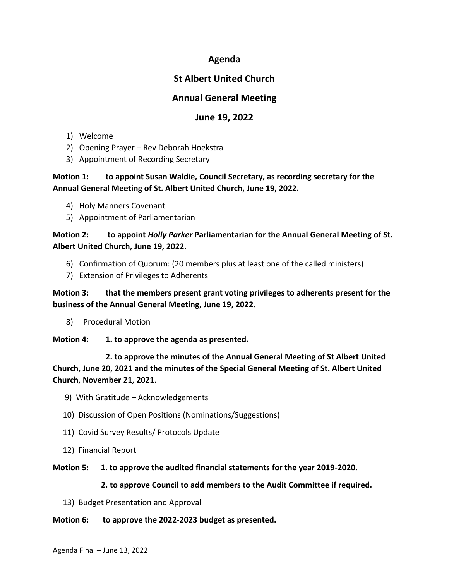## **Agenda**

# **St Albert United Church**

## **Annual General Meeting**

## **June 19, 2022**

- 1) Welcome
- 2) Opening Prayer Rev Deborah Hoekstra
- 3) Appointment of Recording Secretary

### **Motion 1: to appoint Susan Waldie, Council Secretary, as recording secretary for the Annual General Meeting of St. Albert United Church, June 19, 2022.**

- 4) Holy Manners Covenant
- 5) Appointment of Parliamentarian

### **Motion 2: to appoint** *Holly Parker* **Parliamentarian for the Annual General Meeting of St. Albert United Church, June 19, 2022.**

- 6) Confirmation of Quorum: (20 members plus at least one of the called ministers)
- 7) Extension of Privileges to Adherents

**Motion 3: that the members present grant voting privileges to adherents present for the business of the Annual General Meeting, June 19, 2022.**

8) Procedural Motion

**Motion 4: 1. to approve the agenda as presented.**

**2. to approve the minutes of the Annual General Meeting of St Albert United Church, June 20, 2021 and the minutes of the Special General Meeting of St. Albert United Church, November 21, 2021.**

- 9) With Gratitude Acknowledgements
- 10) Discussion of Open Positions (Nominations/Suggestions)
- 11) Covid Survey Results/ Protocols Update
- 12) Financial Report
- **Motion 5: 1. to approve the audited financial statements for the year 2019-2020.**

#### **2. to approve Council to add members to the Audit Committee if required.**

13) Budget Presentation and Approval

#### **Motion 6: to approve the 2022-2023 budget as presented.**